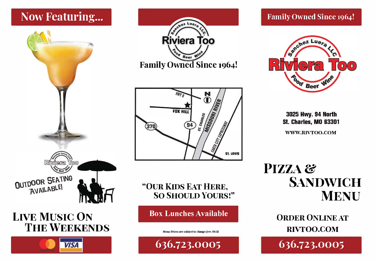# **Now Featuring...**



# **LIVE MUSIC ON THE WEEKENDS**



**Riviera Too Beer Family Owned Since 1964!** 



"OUR KIDS EAT HERE, **SO SHOULD YOURS!"** 

**Box Lunches Available** 

Menu Prices are subject to change (rev. 04/22

636.723.0005

### **Family Owned Since 1964!**



3025 Hwy. 94 North **St. Charles. MO 63301** 

WWW.RIVTOO.COM

PIZZA & **SANDWICH MENU** 

> **ORDER ONLINE AT** RIVTOO.COM

636.723.0005